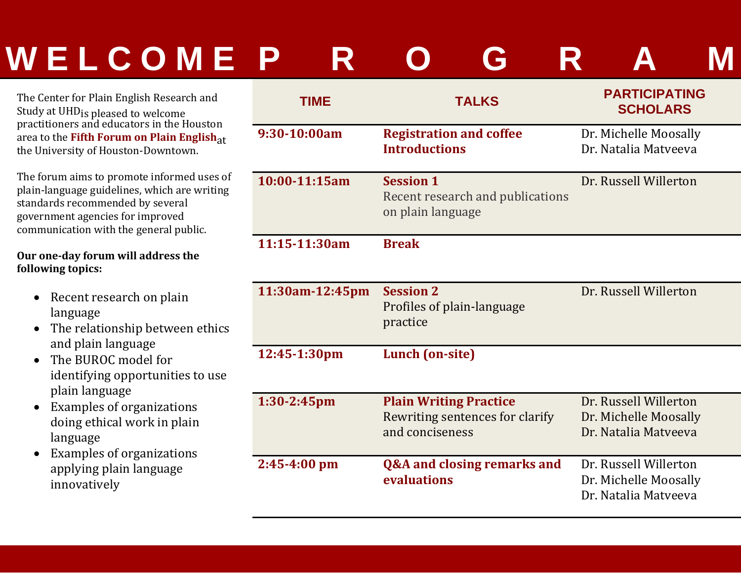## WELCOME P R O G

The Center for Plain English Research and Study at UHD<sub>is pleased to welcome</sub> practitioners and educators in the Houston area to the **Fifth Forum on Plain English**at the University of Houston-Downtown.

The forum aims to promote informed uses of plain-language guidelines, which are writing standards recommended by several government agencies for improved communication with the general public.

#### **Our one‐day forum will address the following topics:**

- Recent research on plain language
- The relationship between ethics and plain language
- The BUROC model for identifying opportunities to use plain language
- $\bullet$ Examples of organizations doing ethical work in plain language
- $\bullet$ Examples of organizations applying plain language innovatively

| <b>TIME</b>      | <b>TALKS</b>                                                                        | <b>PARTICIPATING</b><br><b>SCHOLARS</b>                                |
|------------------|-------------------------------------------------------------------------------------|------------------------------------------------------------------------|
| 9:30-10:00am     | <b>Registration and coffee</b><br><b>Introductions</b>                              | Dr. Michelle Moosally<br>Dr. Natalia Matyeeva                          |
| 10:00-11:15am    | <b>Session 1</b><br>Recent research and publications<br>on plain language           | Dr. Russell Willerton                                                  |
| 11:15-11:30am    | <b>Break</b>                                                                        |                                                                        |
| 11:30am-12:45pm  | <b>Session 2</b><br>Profiles of plain-language<br>practice                          | Dr. Russell Willerton                                                  |
| 12:45-1:30pm     | Lunch (on-site)                                                                     |                                                                        |
| $1:30-2:45$ pm   | <b>Plain Writing Practice</b><br>Rewriting sentences for clarify<br>and conciseness | Dr. Russell Willerton<br>Dr. Michelle Moosally<br>Dr. Natalia Matyeeva |
| $2:45 - 4:00$ pm | <b>Q&amp;A and closing remarks and</b><br>evaluations                               | Dr. Russell Willerton<br>Dr. Michelle Moosally<br>Dr. Natalia Matveeva |